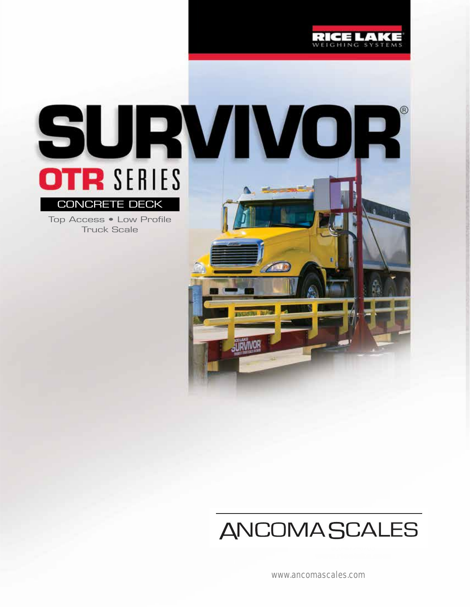

# **ANCOMASCALES**

RICELA

www.ancomascales.com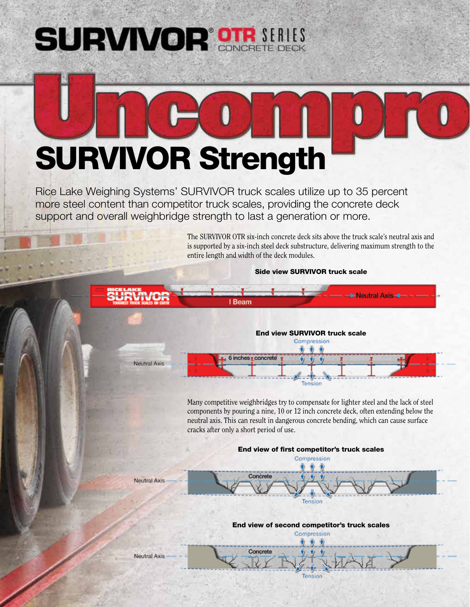# **SURVIVOR OTR SERIES**



Rice Lake Weighing Systems' SURVIVOR truck scales utilize up to 35 percent more steel content than competitor truck scales, providing the concrete deck support and overall weighbridge strength to last a generation or more.

> The SURVIVOR OTR six-inch concrete deck sits above the truck scale's neutral axis and is supported by a six-inch steel deck substructure, delivering maximum strength to the entire length and width of the deck modules.

> > Side view SURVIVOR truck scale

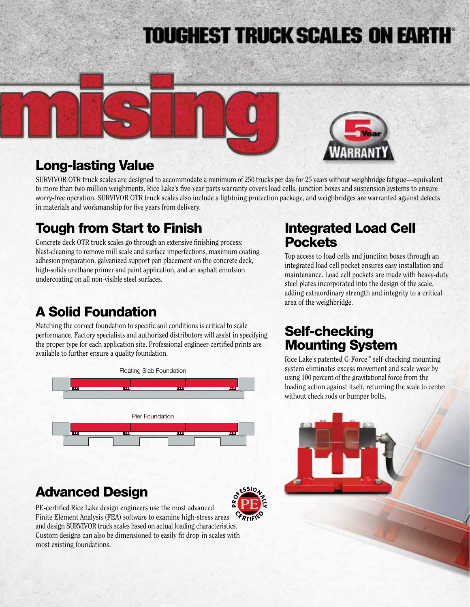# **TOUGHEST TRUCK SCALES ON EARTH®**



## Long-lasting Value

SURVIVOR OTR truck scales are designed to accommodate a minimum of 250 trucks per day for 25 years without weighbridge fatigue—equivalent to more than two million weighments. Rice Lake's five-year parts warranty covers load cells, junction boxes and suspension systems to ensure worry-free operation. SURVIVOR OTR truck scales also include a lightning protection package, and weighbridges are warranted against defects in materials and workmanship for five years from delivery.

# Tough from Start to Finish

Concrete deck OTR truck scales go through an extensive finishing process: blast-cleaning to remove mill scale and surface imperfections, maximum coating adhesion preparation, galvanized support pan placement on the concrete deck, high-solids urethane primer and paint application, and an asphalt emulsion undercoating on all non-visible steel surfaces.

# A Solid Foundation

Matching the correct foundation to specific soil conditions is critical to scale performance. Factory specialists and authorized distributors will assist in specifying the proper type for each application site. Professional engineer-certified prints are available to further ensure a quality foundation.



# Advanced Design



PE-certified Rice Lake design engineers use the most advanced Finite Element Analysis (FEA) software to examine high-stress areas and design SURVIVOR truck scales based on actual loading characteristics. Custom designs can also be dimensioned to easily fit drop-in scales with most existing foundations.

## Integrated Load Cell **Pockets**

Top access to load cells and junction boxes through an integrated load cell pocket ensures easy installation and maintenance. Load cell pockets are made with heavy-duty steel plates incorporated into the design of the scale, adding extraordinary strength and integrity to a critical area of the weighbridge.

## Self-checking Mounting System

Rice Lake's patented G-Force™ self-checking mounting system eliminates excess movement and scale wear by using 100 percent of the gravitational force from the loading action against itself, returning the scale to center without check rods or bumper bolts.

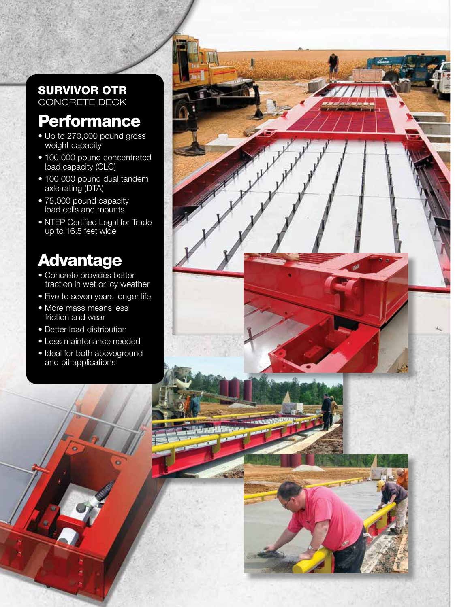### SURVIVOR OTR CONCRETE DECK

# **Performance**

- Up to 270,000 pound gross weight capacity
- 100,000 pound concentrated load capacity (CLC)
- 100,000 pound dual tandem axle rating (DTA)
- 75,000 pound capacity load cells and mounts
- NTEP Certified Legal for Trade up to 16.5 feet wide

# Advantage

- Concrete provides better traction in wet or icy weather
- Five to seven years longer life
- More mass means less friction and wear
- Better load distribution
- Less maintenance needed
- Ideal for both aboveground and pit applications

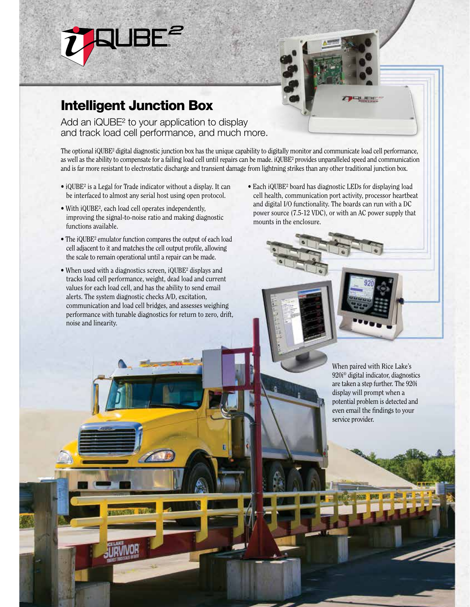

# Intelligent Junction Box

Add an iQUBE<sup>2</sup> to your application to display and track load cell performance, and much more.

The optional iQUBE² digital diagnostic junction box has the unique capability to digitally monitor and communicate load cell performance, as well as the ability to compensate for a failing load cell until repairs can be made. iQUBE² provides unparalleled speed and communication and is far more resistant to electrostatic discharge and transient damage from lightning strikes than any other traditional junction box.

- iQUBE² is a Legal for Trade indicator without a display. It can be interfaced to almost any serial host using open protocol.
- With iQUBE², each load cell operates independently, improving the signal-to-noise ratio and making diagnostic functions available.
- The iQUBE² emulator function compares the output of each load cell adjacent to it and matches the cell output profile, allowing the scale to remain operational until a repair can be made.
- When used with a diagnostics screen, iQUBE<sup>2</sup> displays and tracks load cell performance, weight, dead load and current values for each load cell, and has the ability to send email alerts. The system diagnostic checks A/D, excitation, communication and load cell bridges, and assesses weighing performance with tunable diagnostics for return to zero, drift, noise and linearity.
- Each iQUBE² board has diagnostic LEDs for displaying load cell health, communication port activity, processor heartbeat and digital I/O functionality. The boards can run with a DC power source (7.5-12 VDC), or with an AC power supply that mounts in the enclosure.

When paired with Rice Lake's 920i® digital indicator, diagnostics are taken a step further. The 920i display will prompt when a potential problem is detected and even email the findings to your service provider.